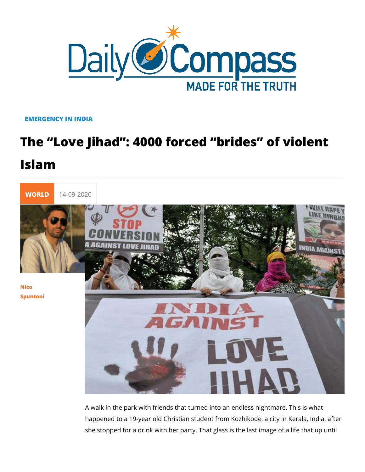## EMERGENCY IN INDIA

## The Love Jihad : 4000 forced brides Islam



## [Nico](/en/nico-spuntoni-1) [Spunto](/en/nico-spuntoni-1)ni

A walk in the park with friends that turned into an endless nig happened to a 19-year old Christian student from Kozhikode, a she stopped for a drink with her party. That glass is the last i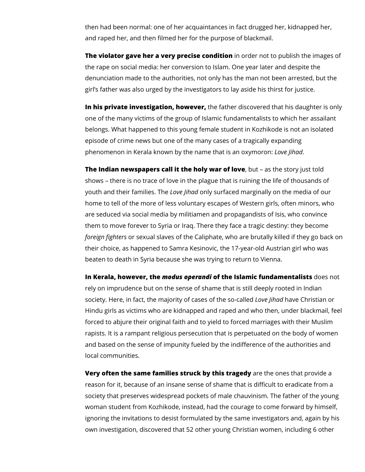then had been normal: one of her acquaintances in fact drugged her, kidnapped her, and raped her, and then filmed her for the purpose of blackmail.

**The violator gave her a very precise condition** in order not to publish the images of the rape on social media: her conversion to Islam. One year later and despite the denunciation made to the authorities, not only has the man not been arrested, but the girl's father was also urged by the investigators to lay aside his thirst for justice.

**In his private investigation, however,** the father discovered that his daughter is only one of the many victims of the group of Islamic fundamentalists to which her assailant belongs. What happened to this young female student in Kozhikode is not an isolated episode of crime news but one of the many cases of a tragically expanding phenomenon in Kerala known by the name that is an oxymoron: *Love Jihad*.

**The Indian newspapers call it the holy war of love**, but – as the story just told shows – there is no trace of love in the plague that is ruining the life of thousands of youth and their families. The *Love Jihad* only surfaced marginally on the media of our home to tell of the more of less voluntary escapes of Western girls, often minors, who are seduced via social media by militiamen and propagandists of Isis, who convince them to move forever to Syria or Iraq. There they face a tragic destiny: they become *foreign fighters* or sexual slaves of the Caliphate, who are brutally killed if they go back on their choice, as happened to Samra Kesinovic, the 17-year-old Austrian girl who was beaten to death in Syria because she was trying to return to Vienna.

**In Kerala, however, the** *modus operandi* **of the Islamic fundamentalists** does not rely on imprudence but on the sense of shame that is still deeply rooted in Indian society. Here, in fact, the majority of cases of the so-called *Love Jihad* have Christian or Hindu girls as victims who are kidnapped and raped and who then, under blackmail, feel forced to abjure their original faith and to yield to forced marriages with their Muslim rapists. It is a rampant religious persecution that is perpetuated on the body of women and based on the sense of impunity fueled by the indifference of the authorities and local communities.

**Very often the same families struck by this tragedy** are the ones that provide a reason for it, because of an insane sense of shame that is difficult to eradicate from a society that preserves widespread pockets of male chauvinism. The father of the young woman student from Kozhikode, instead, had the courage to come forward by himself, ignoring the invitations to desist formulated by the same investigators and, again by his own investigation, discovered that 52 other young Christian women, including 6 other